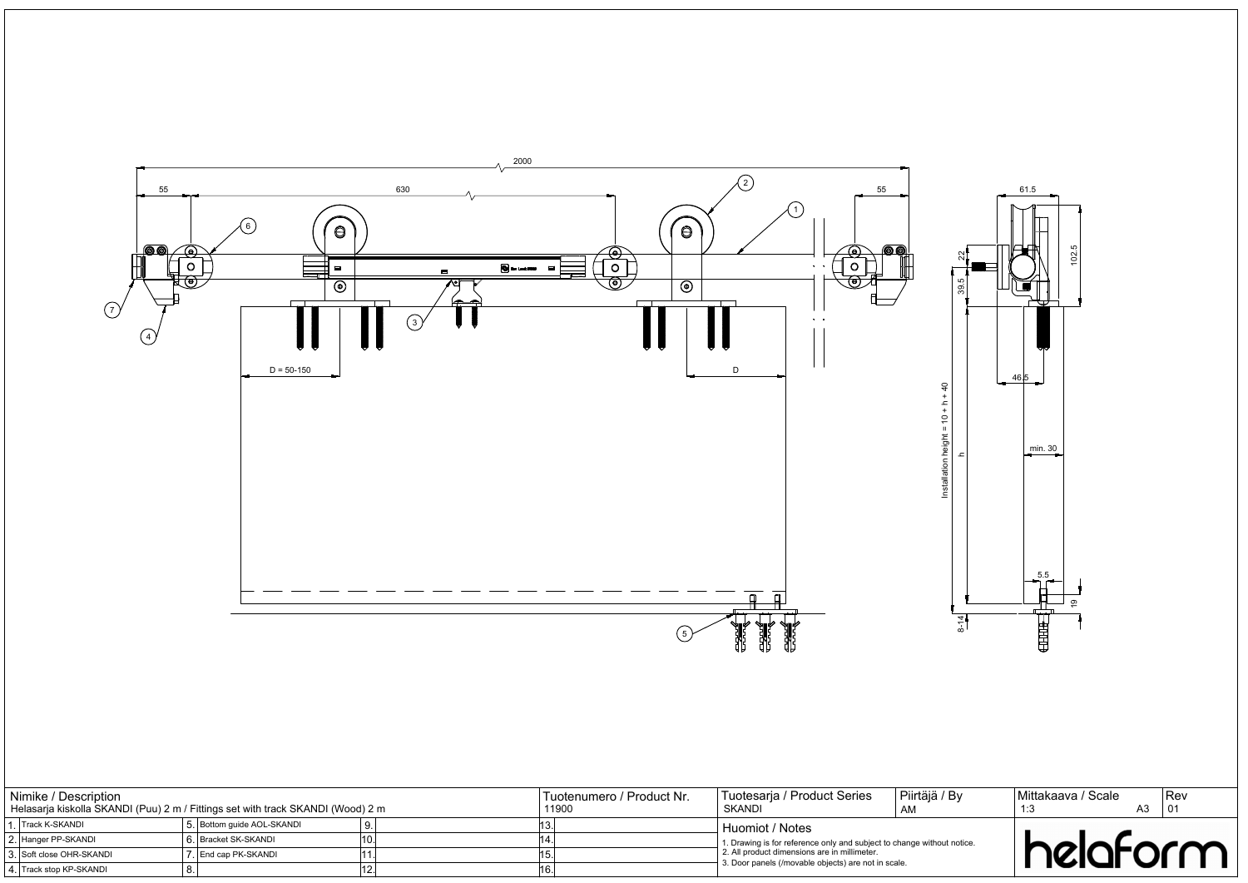



| Nimike / Description<br>Helasarja kiskolla SKANDI (Puu) 2 m / Fittings set with track SKANDI (Wood) 2 m |                          |  |                            |  | Tuotenumero / Product Nr.<br>11900 |  | Tuotesarja / Product Series<br>SKANDI                                                               | Piirtäjä / By<br>AM |          | Mittakaava / Scale |  | Rev |
|---------------------------------------------------------------------------------------------------------|--------------------------|--|----------------------------|--|------------------------------------|--|-----------------------------------------------------------------------------------------------------|---------------------|----------|--------------------|--|-----|
|                                                                                                         | 1 Track K-SKANDI         |  | 5. Bottom quide AOL-SKANDI |  |                                    |  | l Huomiot / Notes<br>1. Drawing is for reference only and subject to change without notice.         |                     |          |                    |  |     |
|                                                                                                         | 2. Hanger PP-SKANDI      |  | l 6. IBracket SK-SKANDI    |  |                                    |  |                                                                                                     |                     |          |                    |  |     |
|                                                                                                         | 3. Soft close OHR-SKANDI |  | I 7. IEnd cap PK-SKANDI    |  |                                    |  | 2. All product dimensions are in millimeter.<br>3. Door panels (/movable objects) are not in scale. |                     | helaform |                    |  |     |
|                                                                                                         | 4. Track stop KP-SKANDI  |  |                            |  |                                    |  |                                                                                                     |                     |          |                    |  |     |